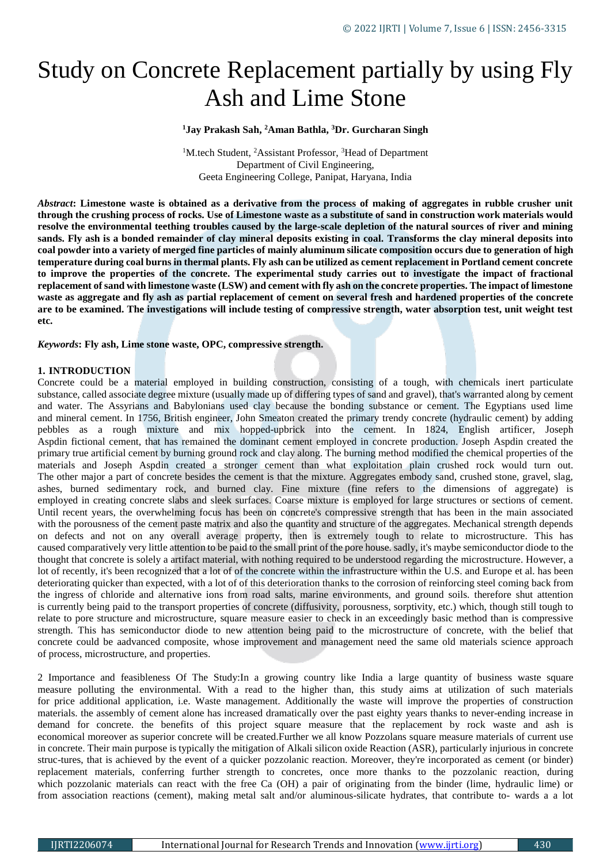# Study on Concrete Replacement partially by using Fly Ash and Lime Stone

### **<sup>1</sup>Jay Prakash Sah, <sup>2</sup>Aman Bathla, <sup>3</sup>Dr. Gurcharan Singh**

<sup>1</sup>M.tech Student, <sup>2</sup>Assistant Professor, <sup>3</sup>Head of Department Department of Civil Engineering, Geeta Engineering College, Panipat, Haryana, India

*Abstract***: Limestone waste is obtained as a derivative from the process of making of aggregates in rubble crusher unit through the crushing process of rocks. Use of Limestone waste as a substitute of sand in construction work materials would resolve the environmental teething troubles caused by the large-scale depletion of the natural sources of river and mining sands. Fly ash is a bonded remainder of clay mineral deposits existing in coal. Transforms the clay mineral deposits into coal powder into a variety of merged fine particles of mainly aluminum silicate composition occurs due to generation of high temperature during coal burns in thermal plants. Fly ash can be utilized as cement replacement in Portland cement concrete to improve the properties of the concrete. The experimental study carries out to investigate the impact of fractional replacement of sand with limestone waste (LSW) and cement with fly ash on the concrete properties. The impact of limestone waste as aggregate and fly ash as partial replacement of cement on several fresh and hardened properties of the concrete are to be examined. The investigations will include testing of compressive strength, water absorption test, unit weight test etc.**

*Keywords***: Fly ash, Lime stone waste, OPC, compressive strength.**

#### **1. INTRODUCTION**

Concrete could be a material employed in building construction, consisting of a tough, with chemicals inert particulate substance, called associate degree mixture (usually made up of differing types of sand and gravel), that's warranted along by cement and water. The Assyrians and Babylonians used clay because the bonding substance or cement. The Egyptians used lime and mineral cement. In 1756, British engineer, John Smeaton created the primary trendy concrete (hydraulic cement) by adding pebbles as a rough mixture and mix hopped-upbrick into the cement. In 1824, English artificer, Joseph Aspdin fictional cement, that has remained the dominant cement employed in concrete production. Joseph Aspdin created the primary true artificial cement by burning ground rock and clay along. The burning method modified the chemical properties of the materials and Joseph Aspdin created a stronger cement than what exploitation plain crushed rock would turn out. The other major a part of concrete besides the cement is that the mixture. Aggregates embody sand, crushed stone, gravel, slag, ashes, burned sedimentary rock, and burned clay. Fine mixture (fine refers to the dimensions of aggregate) is employed in creating concrete slabs and sleek surfaces. Coarse mixture is employed for large structures or sections of cement. Until recent years, the overwhelming focus has been on concrete's compressive strength that has been in the main associated with the porousness of the cement paste matrix and also the quantity and structure of the aggregates. Mechanical strength depends on defects and not on any overall average property, then is extremely tough to relate to microstructure. This has caused comparatively very little attention to be paid to the small print of the pore house. sadly, it's maybe semiconductor diode to the thought that concrete is solely a artifact material, with nothing required to be understood regarding the microstructure. However, a lot of recently, it's been recognized that a lot of of the concrete within the infrastructure within the U.S. and Europe et al. has been deteriorating quicker than expected, with a lot of of this deterioration thanks to the corrosion of reinforcing steel coming back from the ingress of chloride and alternative ions from road salts, marine environments, and ground soils. therefore shut attention is currently being paid to the transport properties of concrete (diffusivity, porousness, sorptivity, etc.) which, though still tough to relate to pore structure and microstructure, square measure easier to check in an exceedingly basic method than is compressive strength. This has semiconductor diode to new attention being paid to the microstructure of concrete, with the belief that concrete could be aadvanced composite, whose improvement and management need the same old materials science approach of process, microstructure, and properties.

2 Importance and feasibleness Of The Study:In a growing country like India a large quantity of business waste square measure polluting the environmental. With a read to the higher than, this study aims at utilization of such materials for price additional application, i.e. Waste management. Additionally the waste will improve the properties of construction materials. the assembly of cement alone has increased dramatically over the past eighty years thanks to never-ending increase in demand for concrete. the benefits of this project square measure that the replacement by rock waste and ash is economical moreover as superior concrete will be created.Further we all know Pozzolans square measure materials of current use in concrete. Their main purpose is typically the mitigation of Alkali silicon oxide Reaction (ASR), particularly injurious in concrete struc-tures, that is achieved by the event of a quicker pozzolanic reaction. Moreover, they're incorporated as cement (or binder) replacement materials, conferring further strength to concretes, once more thanks to the pozzolanic reaction, during which pozzolanic materials can react with the free Ca (OH) a pair of originating from the binder (lime, hydraulic lime) or from association reactions (cement), making metal salt and/or aluminous-silicate hydrates, that contribute to- wards a a lot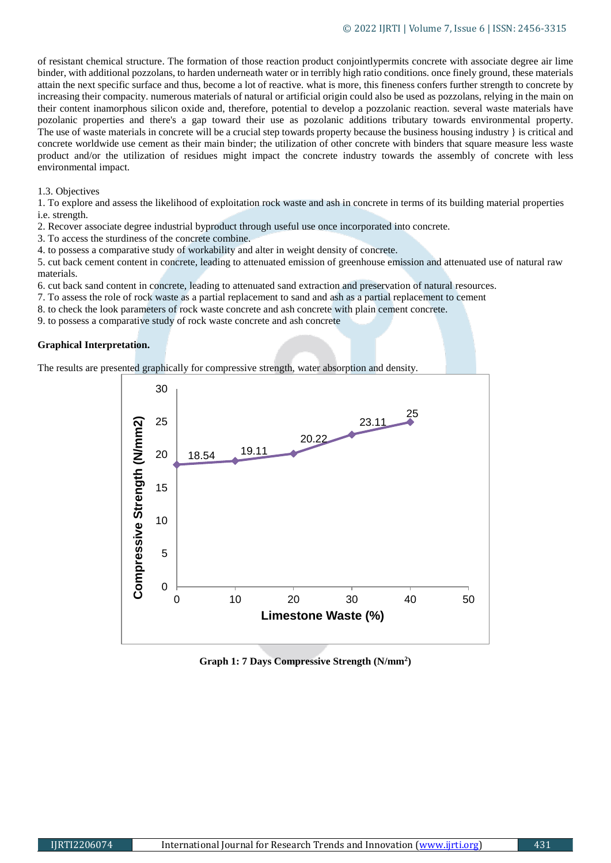of resistant chemical structure. The formation of those reaction product conjointlypermits concrete with associate degree air lime binder, with additional pozzolans, to harden underneath water or in terribly high ratio conditions. once finely ground, these materials attain the next specific surface and thus, become a lot of reactive. what is more, this fineness confers further strength to concrete by increasing their compacity. numerous materials of natural or artificial origin could also be used as pozzolans, relying in the main on their content inamorphous silicon oxide and, therefore, potential to develop a pozzolanic reaction. several waste materials have pozolanic properties and there's a gap toward their use as pozolanic additions tributary towards environmental property. The use of waste materials in concrete will be a crucial step towards property because the business housing industry } is critical and concrete worldwide use cement as their main binder; the utilization of other concrete with binders that square measure less waste product and/or the utilization of residues might impact the concrete industry towards the assembly of concrete with less environmental impact.

#### 1.3. Objectives

1. To explore and assess the likelihood of exploitation rock waste and ash in concrete in terms of its building material properties i.e. strength.

- 2. Recover associate degree industrial byproduct through useful use once incorporated into concrete.
- 3. To access the sturdiness of the concrete combine.
- 4. to possess a comparative study of workability and alter in weight density of concrete.

5. cut back cement content in concrete, leading to attenuated emission of greenhouse emission and attenuated use of natural raw materials.

- 6. cut back sand content in concrete, leading to attenuated sand extraction and preservation of natural resources.
- 7. To assess the role of rock waste as a partial replacement to sand and ash as a partial replacement to cement
- 8. to check the look parameters of rock waste concrete and ash concrete with plain cement concrete.
- 9. to possess a comparative study of rock waste concrete and ash concrete

## **Graphical Interpretation.**

The results are presented graphically for compressive strength, water absorption and density.



**Graph 1: 7 Days Compressive Strength (N/mm<sup>2</sup> )**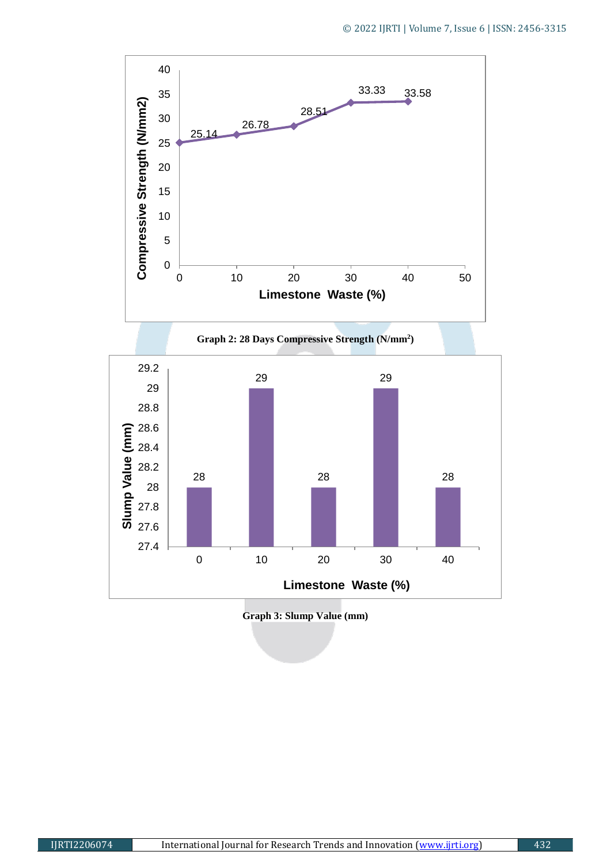

**Graph 3: Slump Value (mm)**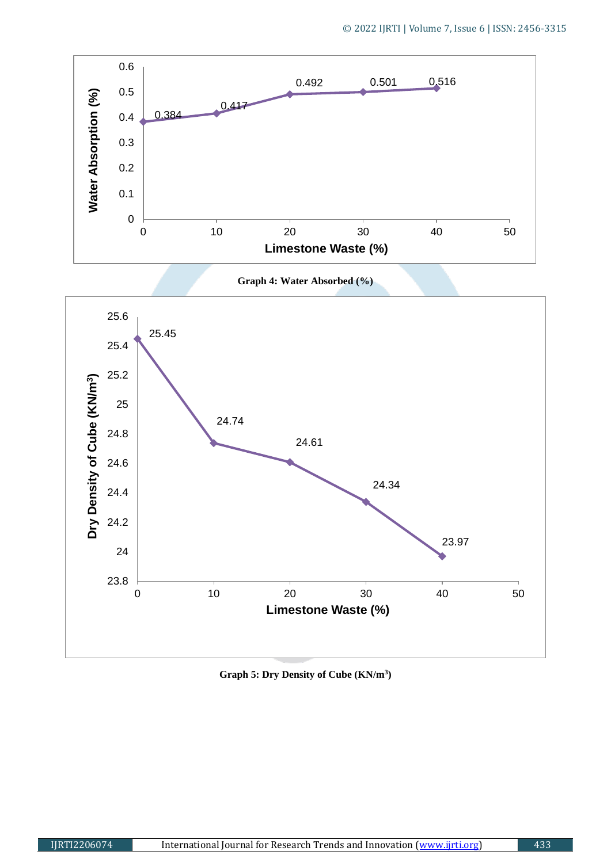





**Graph 5: Dry Density of Cube (KN/m<sup>3</sup> )**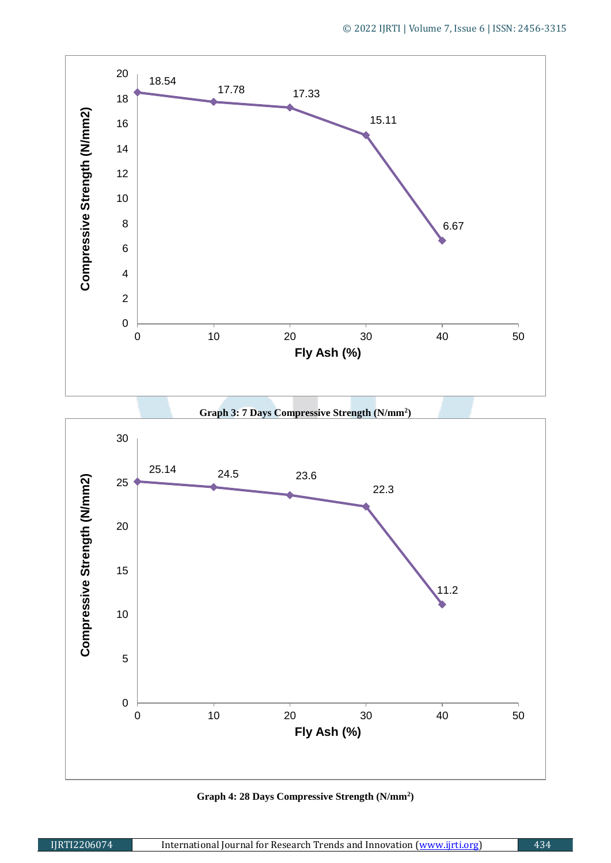

**Graph 3: 7 Days Compressive Strength (N/mm<sup>2</sup> )**



**Graph 4: 28 Days Compressive Strength (N/mm<sup>2</sup> )**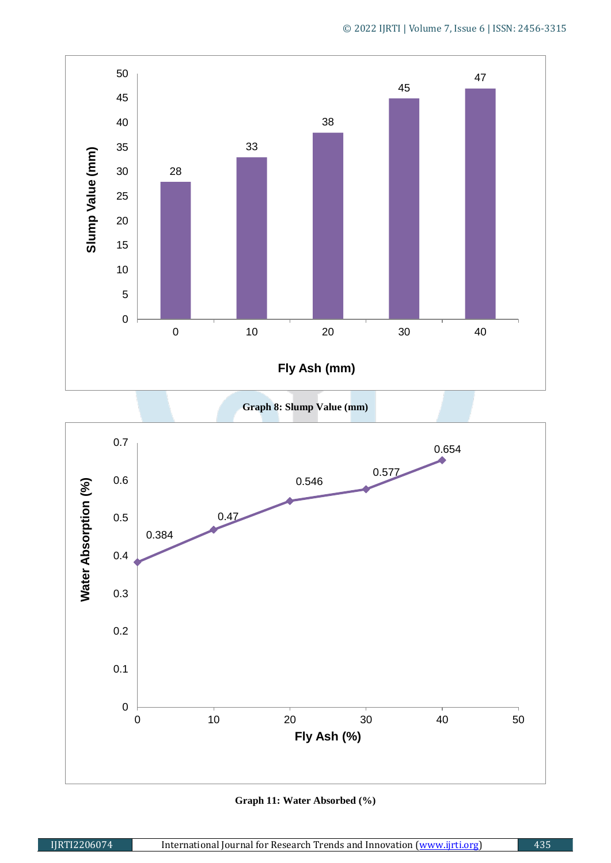

**Graph 8: Slump Value (mm)** 



**Graph 11: Water Absorbed (%)**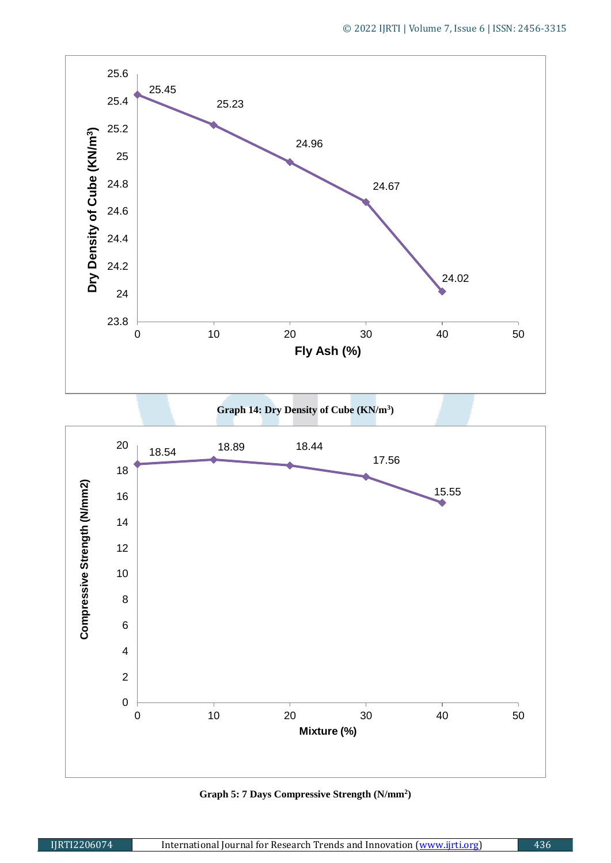





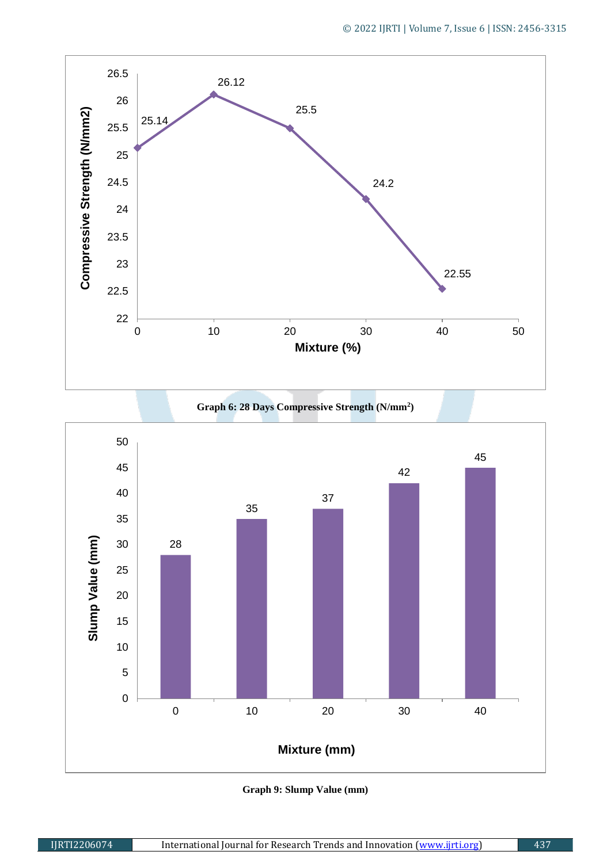



**Graph 6: 28 Days Compressive Strength (N/mm<sup>2</sup> )**

**Graph 9: Slump Value (mm)**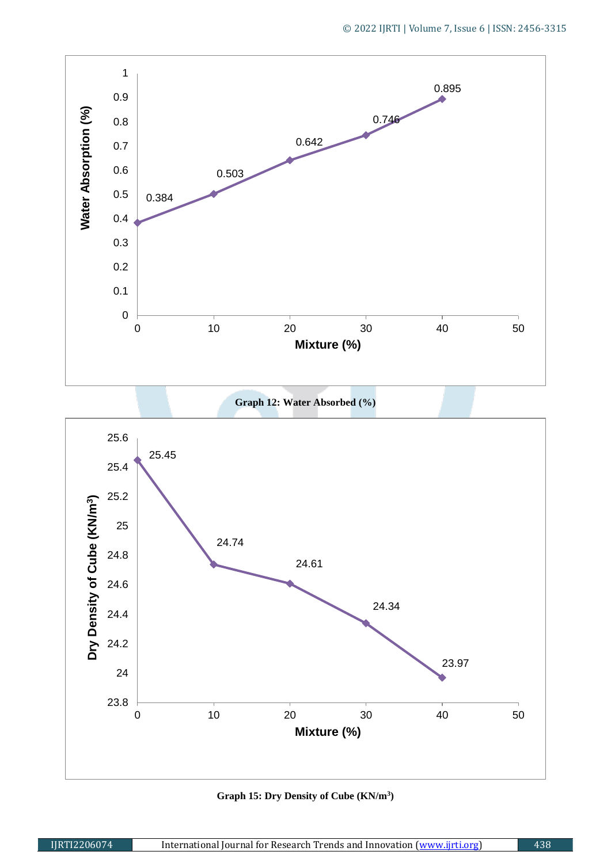